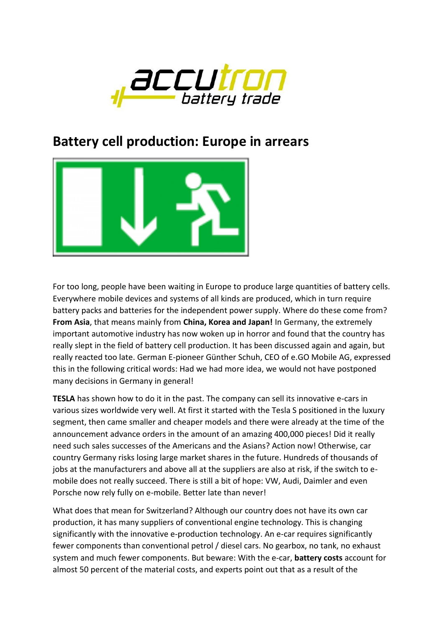

## **Battery cell production: Europe in arrears**



For too long, people have been waiting in Europe to produce large quantities of battery cells. Everywhere mobile devices and systems of all kinds are produced, which in turn require battery packs and batteries for the independent power supply. Where do these come from? **From Asia**, that means mainly from **China, Korea and Japan!** In Germany, the extremely important automotive industry has now woken up in horror and found that the country has really slept in the field of battery cell production. It has been discussed again and again, but really reacted too late. German E-pioneer Günther Schuh, CEO of e.GO Mobile AG, expressed this in the following critical words: Had we had more idea, we would not have postponed many decisions in Germany in general!

**TESLA** has shown how to do it in the past. The company can sell its innovative e-cars in various sizes worldwide very well. At first it started with the Tesla S positioned in the luxury segment, then came smaller and cheaper models and there were already at the time of the announcement advance orders in the amount of an amazing 400,000 pieces! Did it really need such sales successes of the Americans and the Asians? Action now! Otherwise, car country Germany risks losing large market shares in the future. Hundreds of thousands of jobs at the manufacturers and above all at the suppliers are also at risk, if the switch to emobile does not really succeed. There is still a bit of hope: VW, Audi, Daimler and even Porsche now rely fully on e-mobile. Better late than never!

What does that mean for Switzerland? Although our country does not have its own car production, it has many suppliers of conventional engine technology. This is changing significantly with the innovative e-production technology. An e-car requires significantly fewer components than conventional petrol / diesel cars. No gearbox, no tank, no exhaust system and much fewer components. But beware: With the e-car, **battery costs** account for almost 50 percent of the material costs, and experts point out that as a result of the